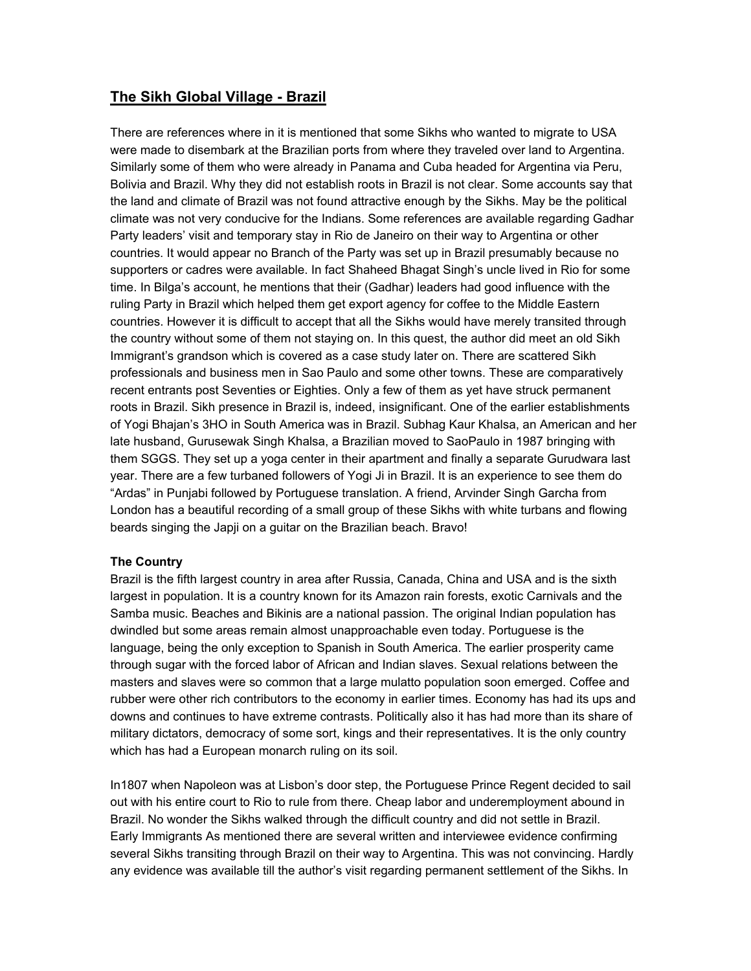# **The Sikh Global Village - Brazil**

There are references where in it is mentioned that some Sikhs who wanted to migrate to USA were made to disembark at the Brazilian ports from where they traveled over land to Argentina. Similarly some of them who were already in Panama and Cuba headed for Argentina via Peru, Bolivia and Brazil. Why they did not establish roots in Brazil is not clear. Some accounts say that the land and climate of Brazil was not found attractive enough by the Sikhs. May be the political climate was not very conducive for the Indians. Some references are available regarding Gadhar Party leaders' visit and temporary stay in Rio de Janeiro on their way to Argentina or other countries. It would appear no Branch of the Party was set up in Brazil presumably because no supporters or cadres were available. In fact Shaheed Bhagat Singh's uncle lived in Rio for some time. In Bilga's account, he mentions that their (Gadhar) leaders had good influence with the ruling Party in Brazil which helped them get export agency for coffee to the Middle Eastern countries. However it is difficult to accept that all the Sikhs would have merely transited through the country without some of them not staying on. In this quest, the author did meet an old Sikh Immigrant's grandson which is covered as a case study later on. There are scattered Sikh professionals and business men in Sao Paulo and some other towns. These are comparatively recent entrants post Seventies or Eighties. Only a few of them as yet have struck permanent roots in Brazil. Sikh presence in Brazil is, indeed, insignificant. One of the earlier establishments of Yogi Bhajan's 3HO in South America was in Brazil. Subhag Kaur Khalsa, an American and her late husband, Gurusewak Singh Khalsa, a Brazilian moved to SaoPaulo in 1987 bringing with them SGGS. They set up a yoga center in their apartment and finally a separate Gurudwara last year. There are a few turbaned followers of Yogi Ji in Brazil. It is an experience to see them do "Ardas" in Punjabi followed by Portuguese translation. A friend, Arvinder Singh Garcha from London has a beautiful recording of a small group of these Sikhs with white turbans and flowing beards singing the Japji on a guitar on the Brazilian beach. Bravo!

## **The Country**

Brazil is the fifth largest country in area after Russia, Canada, China and USA and is the sixth largest in population. It is a country known for its Amazon rain forests, exotic Carnivals and the Samba music. Beaches and Bikinis are a national passion. The original Indian population has dwindled but some areas remain almost unapproachable even today. Portuguese is the language, being the only exception to Spanish in South America. The earlier prosperity came through sugar with the forced labor of African and Indian slaves. Sexual relations between the masters and slaves were so common that a large mulatto population soon emerged. Coffee and rubber were other rich contributors to the economy in earlier times. Economy has had its ups and downs and continues to have extreme contrasts. Politically also it has had more than its share of military dictators, democracy of some sort, kings and their representatives. It is the only country which has had a European monarch ruling on its soil.

In1807 when Napoleon was at Lisbon's door step, the Portuguese Prince Regent decided to sail out with his entire court to Rio to rule from there. Cheap labor and underemployment abound in Brazil. No wonder the Sikhs walked through the difficult country and did not settle in Brazil. Early Immigrants As mentioned there are several written and interviewee evidence confirming several Sikhs transiting through Brazil on their way to Argentina. This was not convincing. Hardly any evidence was available till the author's visit regarding permanent settlement of the Sikhs. In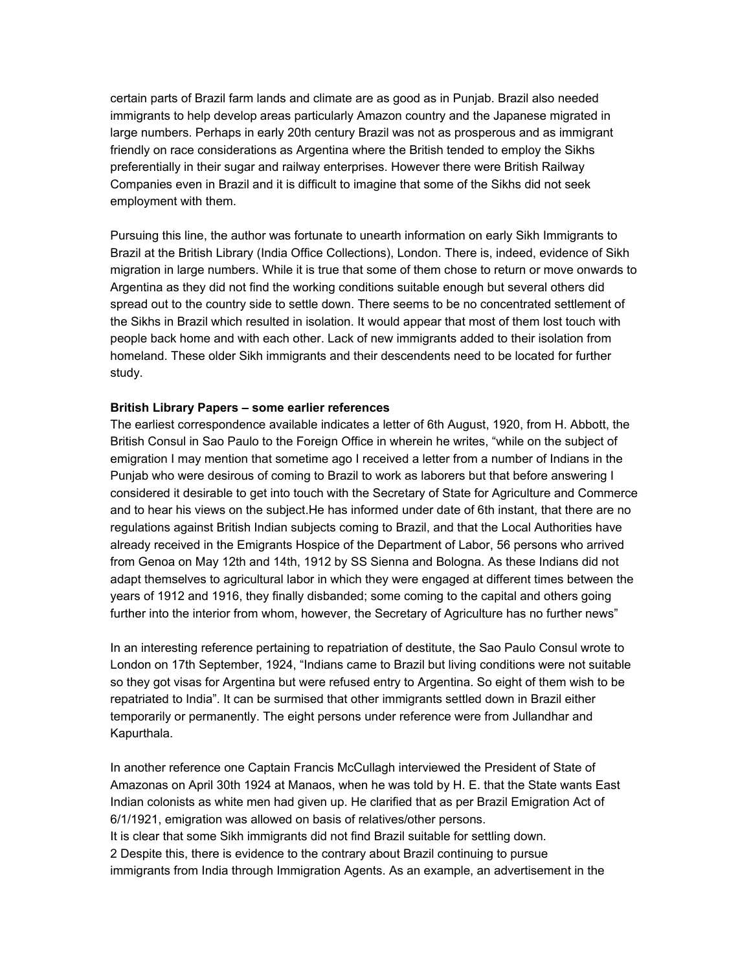certain parts of Brazil farm lands and climate are as good as in Punjab. Brazil also needed immigrants to help develop areas particularly Amazon country and the Japanese migrated in large numbers. Perhaps in early 20th century Brazil was not as prosperous and as immigrant friendly on race considerations as Argentina where the British tended to employ the Sikhs preferentially in their sugar and railway enterprises. However there were British Railway Companies even in Brazil and it is difficult to imagine that some of the Sikhs did not seek employment with them.

Pursuing this line, the author was fortunate to unearth information on early Sikh Immigrants to Brazil at the British Library (India Office Collections), London. There is, indeed, evidence of Sikh migration in large numbers. While it is true that some of them chose to return or move onwards to Argentina as they did not find the working conditions suitable enough but several others did spread out to the country side to settle down. There seems to be no concentrated settlement of the Sikhs in Brazil which resulted in isolation. It would appear that most of them lost touch with people back home and with each other. Lack of new immigrants added to their isolation from homeland. These older Sikh immigrants and their descendents need to be located for further study.

#### **British Library Papers – some earlier references**

The earliest correspondence available indicates a letter of 6th August, 1920, from H. Abbott, the British Consul in Sao Paulo to the Foreign Office in wherein he writes, "while on the subject of emigration I may mention that sometime ago I received a letter from a number of Indians in the Punjab who were desirous of coming to Brazil to work as laborers but that before answering I considered it desirable to get into touch with the Secretary of State for Agriculture and Commerce and to hear his views on the subject.He has informed under date of 6th instant, that there are no regulations against British Indian subjects coming to Brazil, and that the Local Authorities have already received in the Emigrants Hospice of the Department of Labor, 56 persons who arrived from Genoa on May 12th and 14th, 1912 by SS Sienna and Bologna. As these Indians did not adapt themselves to agricultural labor in which they were engaged at different times between the years of 1912 and 1916, they finally disbanded; some coming to the capital and others going further into the interior from whom, however, the Secretary of Agriculture has no further news"

In an interesting reference pertaining to repatriation of destitute, the Sao Paulo Consul wrote to London on 17th September, 1924, "Indians came to Brazil but living conditions were not suitable so they got visas for Argentina but were refused entry to Argentina. So eight of them wish to be repatriated to India". It can be surmised that other immigrants settled down in Brazil either temporarily or permanently. The eight persons under reference were from Jullandhar and Kapurthala.

In another reference one Captain Francis McCullagh interviewed the President of State of Amazonas on April 30th 1924 at Manaos, when he was told by H. E. that the State wants East Indian colonists as white men had given up. He clarified that as per Brazil Emigration Act of 6/1/1921, emigration was allowed on basis of relatives/other persons. It is clear that some Sikh immigrants did not find Brazil suitable for settling down. 2 Despite this, there is evidence to the contrary about Brazil continuing to pursue

immigrants from India through Immigration Agents. As an example, an advertisement in the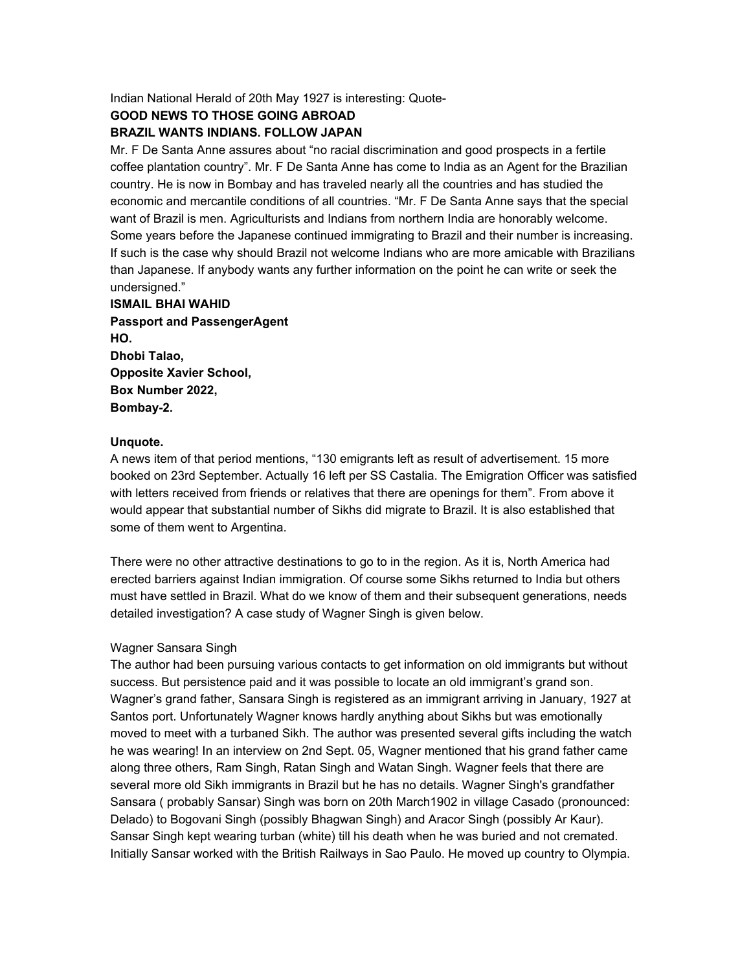Indian National Herald of 20th May 1927 is interesting: Quote-

## **GOOD NEWS TO THOSE GOING ABROAD**

### **BRAZIL WANTS INDIANS. FOLLOW JAPAN**

Mr. F De Santa Anne assures about "no racial discrimination and good prospects in a fertile coffee plantation country". Mr. F De Santa Anne has come to India as an Agent for the Brazilian country. He is now in Bombay and has traveled nearly all the countries and has studied the economic and mercantile conditions of all countries. "Mr. F De Santa Anne says that the special want of Brazil is men. Agriculturists and Indians from northern India are honorably welcome. Some years before the Japanese continued immigrating to Brazil and their number is increasing. If such is the case why should Brazil not welcome Indians who are more amicable with Brazilians than Japanese. If anybody wants any further information on the point he can write or seek the undersigned."

**ISMAIL BHAI WAHID Passport and PassengerAgent HO. Dhobi Talao, Opposite Xavier School, Box Number 2022, Bombay-2.** 

#### **Unquote.**

A news item of that period mentions, "130 emigrants left as result of advertisement. 15 more booked on 23rd September. Actually 16 left per SS Castalia. The Emigration Officer was satisfied with letters received from friends or relatives that there are openings for them". From above it would appear that substantial number of Sikhs did migrate to Brazil. It is also established that some of them went to Argentina.

There were no other attractive destinations to go to in the region. As it is, North America had erected barriers against Indian immigration. Of course some Sikhs returned to India but others must have settled in Brazil. What do we know of them and their subsequent generations, needs detailed investigation? A case study of Wagner Singh is given below.

#### Wagner Sansara Singh

The author had been pursuing various contacts to get information on old immigrants but without success. But persistence paid and it was possible to locate an old immigrant's grand son. Wagner's grand father, Sansara Singh is registered as an immigrant arriving in January, 1927 at Santos port. Unfortunately Wagner knows hardly anything about Sikhs but was emotionally moved to meet with a turbaned Sikh. The author was presented several gifts including the watch he was wearing! In an interview on 2nd Sept. 05, Wagner mentioned that his grand father came along three others, Ram Singh, Ratan Singh and Watan Singh. Wagner feels that there are several more old Sikh immigrants in Brazil but he has no details. Wagner Singh's grandfather Sansara ( probably Sansar) Singh was born on 20th March1902 in village Casado (pronounced: Delado) to Bogovani Singh (possibly Bhagwan Singh) and Aracor Singh (possibly Ar Kaur). Sansar Singh kept wearing turban (white) till his death when he was buried and not cremated. Initially Sansar worked with the British Railways in Sao Paulo. He moved up country to Olympia.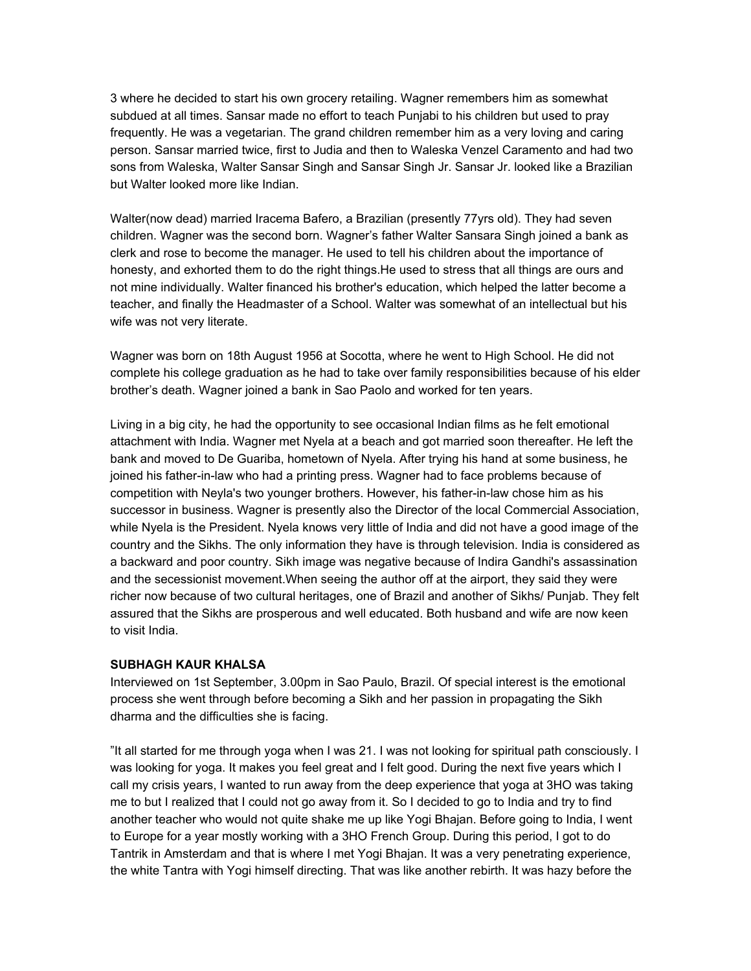3 where he decided to start his own grocery retailing. Wagner remembers him as somewhat subdued at all times. Sansar made no effort to teach Punjabi to his children but used to pray frequently. He was a vegetarian. The grand children remember him as a very loving and caring person. Sansar married twice, first to Judia and then to Waleska Venzel Caramento and had two sons from Waleska, Walter Sansar Singh and Sansar Singh Jr. Sansar Jr. looked like a Brazilian but Walter looked more like Indian.

Walter(now dead) married Iracema Bafero, a Brazilian (presently 77yrs old). They had seven children. Wagner was the second born. Wagner's father Walter Sansara Singh joined a bank as clerk and rose to become the manager. He used to tell his children about the importance of honesty, and exhorted them to do the right things.He used to stress that all things are ours and not mine individually. Walter financed his brother's education, which helped the latter become a teacher, and finally the Headmaster of a School. Walter was somewhat of an intellectual but his wife was not very literate.

Wagner was born on 18th August 1956 at Socotta, where he went to High School. He did not complete his college graduation as he had to take over family responsibilities because of his elder brother's death. Wagner joined a bank in Sao Paolo and worked for ten years.

Living in a big city, he had the opportunity to see occasional Indian films as he felt emotional attachment with India. Wagner met Nyela at a beach and got married soon thereafter. He left the bank and moved to De Guariba, hometown of Nyela. After trying his hand at some business, he joined his father-in-law who had a printing press. Wagner had to face problems because of competition with Neyla's two younger brothers. However, his father-in-law chose him as his successor in business. Wagner is presently also the Director of the local Commercial Association, while Nyela is the President. Nyela knows very little of India and did not have a good image of the country and the Sikhs. The only information they have is through television. India is considered as a backward and poor country. Sikh image was negative because of Indira Gandhi's assassination and the secessionist movement.When seeing the author off at the airport, they said they were richer now because of two cultural heritages, one of Brazil and another of Sikhs/ Punjab. They felt assured that the Sikhs are prosperous and well educated. Both husband and wife are now keen to visit India.

#### **SUBHAGH KAUR KHALSA**

Interviewed on 1st September, 3.00pm in Sao Paulo, Brazil. Of special interest is the emotional process she went through before becoming a Sikh and her passion in propagating the Sikh dharma and the difficulties she is facing.

"It all started for me through yoga when I was 21. I was not looking for spiritual path consciously. I was looking for yoga. It makes you feel great and I felt good. During the next five years which I call my crisis years, I wanted to run away from the deep experience that yoga at 3HO was taking me to but I realized that I could not go away from it. So I decided to go to India and try to find another teacher who would not quite shake me up like Yogi Bhajan. Before going to India, I went to Europe for a year mostly working with a 3HO French Group. During this period, I got to do Tantrik in Amsterdam and that is where I met Yogi Bhajan. It was a very penetrating experience, the white Tantra with Yogi himself directing. That was like another rebirth. It was hazy before the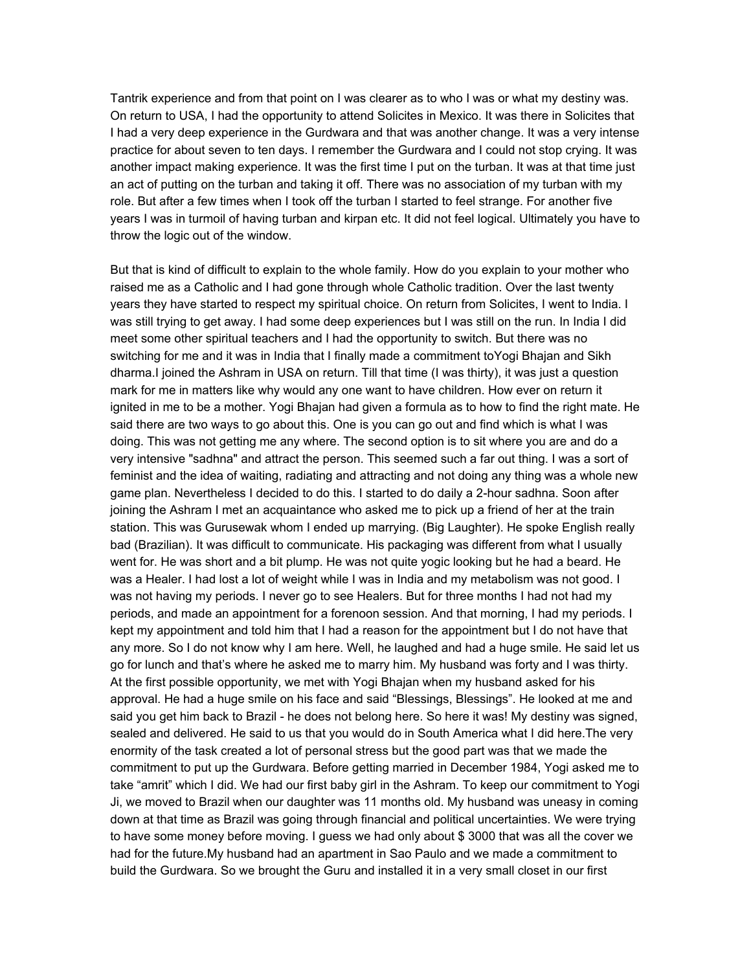Tantrik experience and from that point on I was clearer as to who I was or what my destiny was. On return to USA, I had the opportunity to attend Solicites in Mexico. It was there in Solicites that I had a very deep experience in the Gurdwara and that was another change. It was a very intense practice for about seven to ten days. I remember the Gurdwara and I could not stop crying. It was another impact making experience. It was the first time I put on the turban. It was at that time just an act of putting on the turban and taking it off. There was no association of my turban with my role. But after a few times when I took off the turban I started to feel strange. For another five years I was in turmoil of having turban and kirpan etc. It did not feel logical. Ultimately you have to throw the logic out of the window.

But that is kind of difficult to explain to the whole family. How do you explain to your mother who raised me as a Catholic and I had gone through whole Catholic tradition. Over the last twenty years they have started to respect my spiritual choice. On return from Solicites, I went to India. I was still trying to get away. I had some deep experiences but I was still on the run. In India I did meet some other spiritual teachers and I had the opportunity to switch. But there was no switching for me and it was in India that I finally made a commitment toYogi Bhajan and Sikh dharma.I joined the Ashram in USA on return. Till that time (I was thirty), it was just a question mark for me in matters like why would any one want to have children. How ever on return it ignited in me to be a mother. Yogi Bhajan had given a formula as to how to find the right mate. He said there are two ways to go about this. One is you can go out and find which is what I was doing. This was not getting me any where. The second option is to sit where you are and do a very intensive "sadhna" and attract the person. This seemed such a far out thing. I was a sort of feminist and the idea of waiting, radiating and attracting and not doing any thing was a whole new game plan. Nevertheless I decided to do this. I started to do daily a 2-hour sadhna. Soon after joining the Ashram I met an acquaintance who asked me to pick up a friend of her at the train station. This was Gurusewak whom I ended up marrying. (Big Laughter). He spoke English really bad (Brazilian). It was difficult to communicate. His packaging was different from what I usually went for. He was short and a bit plump. He was not quite yogic looking but he had a beard. He was a Healer. I had lost a lot of weight while I was in India and my metabolism was not good. I was not having my periods. I never go to see Healers. But for three months I had not had my periods, and made an appointment for a forenoon session. And that morning, I had my periods. I kept my appointment and told him that I had a reason for the appointment but I do not have that any more. So I do not know why I am here. Well, he laughed and had a huge smile. He said let us go for lunch and that's where he asked me to marry him. My husband was forty and I was thirty. At the first possible opportunity, we met with Yogi Bhajan when my husband asked for his approval. He had a huge smile on his face and said "Blessings, Blessings". He looked at me and said you get him back to Brazil - he does not belong here. So here it was! My destiny was signed, sealed and delivered. He said to us that you would do in South America what I did here.The very enormity of the task created a lot of personal stress but the good part was that we made the commitment to put up the Gurdwara. Before getting married in December 1984, Yogi asked me to take "amrit" which I did. We had our first baby girl in the Ashram. To keep our commitment to Yogi Ji, we moved to Brazil when our daughter was 11 months old. My husband was uneasy in coming down at that time as Brazil was going through financial and political uncertainties. We were trying to have some money before moving. I guess we had only about \$ 3000 that was all the cover we had for the future.My husband had an apartment in Sao Paulo and we made a commitment to build the Gurdwara. So we brought the Guru and installed it in a very small closet in our first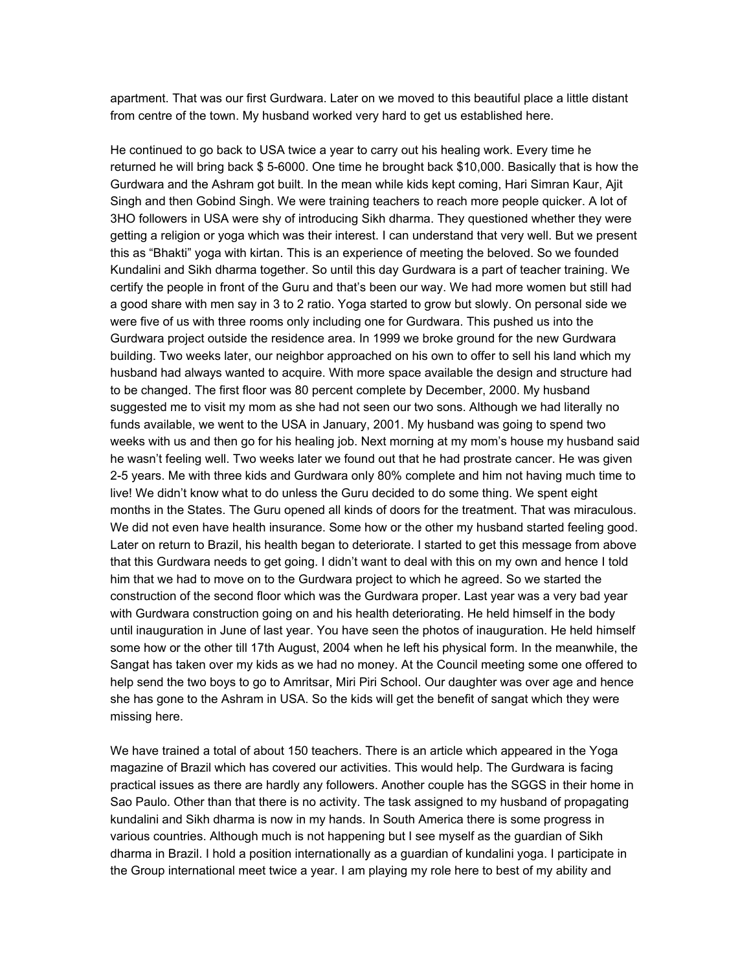apartment. That was our first Gurdwara. Later on we moved to this beautiful place a little distant from centre of the town. My husband worked very hard to get us established here.

He continued to go back to USA twice a year to carry out his healing work. Every time he returned he will bring back \$ 5-6000. One time he brought back \$10,000. Basically that is how the Gurdwara and the Ashram got built. In the mean while kids kept coming, Hari Simran Kaur, Ajit Singh and then Gobind Singh. We were training teachers to reach more people quicker. A lot of 3HO followers in USA were shy of introducing Sikh dharma. They questioned whether they were getting a religion or yoga which was their interest. I can understand that very well. But we present this as "Bhakti" yoga with kirtan. This is an experience of meeting the beloved. So we founded Kundalini and Sikh dharma together. So until this day Gurdwara is a part of teacher training. We certify the people in front of the Guru and that's been our way. We had more women but still had a good share with men say in 3 to 2 ratio. Yoga started to grow but slowly. On personal side we were five of us with three rooms only including one for Gurdwara. This pushed us into the Gurdwara project outside the residence area. In 1999 we broke ground for the new Gurdwara building. Two weeks later, our neighbor approached on his own to offer to sell his land which my husband had always wanted to acquire. With more space available the design and structure had to be changed. The first floor was 80 percent complete by December, 2000. My husband suggested me to visit my mom as she had not seen our two sons. Although we had literally no funds available, we went to the USA in January, 2001. My husband was going to spend two weeks with us and then go for his healing job. Next morning at my mom's house my husband said he wasn't feeling well. Two weeks later we found out that he had prostrate cancer. He was given 2-5 years. Me with three kids and Gurdwara only 80% complete and him not having much time to live! We didn't know what to do unless the Guru decided to do some thing. We spent eight months in the States. The Guru opened all kinds of doors for the treatment. That was miraculous. We did not even have health insurance. Some how or the other my husband started feeling good. Later on return to Brazil, his health began to deteriorate. I started to get this message from above that this Gurdwara needs to get going. I didn't want to deal with this on my own and hence I told him that we had to move on to the Gurdwara project to which he agreed. So we started the construction of the second floor which was the Gurdwara proper. Last year was a very bad year with Gurdwara construction going on and his health deteriorating. He held himself in the body until inauguration in June of last year. You have seen the photos of inauguration. He held himself some how or the other till 17th August, 2004 when he left his physical form. In the meanwhile, the Sangat has taken over my kids as we had no money. At the Council meeting some one offered to help send the two boys to go to Amritsar, Miri Piri School. Our daughter was over age and hence she has gone to the Ashram in USA. So the kids will get the benefit of sangat which they were missing here.

We have trained a total of about 150 teachers. There is an article which appeared in the Yoga magazine of Brazil which has covered our activities. This would help. The Gurdwara is facing practical issues as there are hardly any followers. Another couple has the SGGS in their home in Sao Paulo. Other than that there is no activity. The task assigned to my husband of propagating kundalini and Sikh dharma is now in my hands. In South America there is some progress in various countries. Although much is not happening but I see myself as the guardian of Sikh dharma in Brazil. I hold a position internationally as a guardian of kundalini yoga. I participate in the Group international meet twice a year. I am playing my role here to best of my ability and